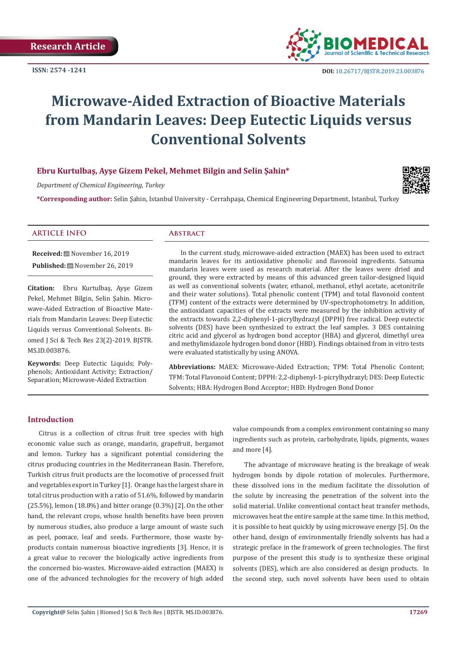**ISSN: 2574 -1241**



# **Microwave-Aided Extraction of Bioactive Materials from Mandarin Leaves: Deep Eutectic Liquids versus Conventional Solvents**

# **Ebru Kurtulbaş, Ayşe Gizem Pekel, Mehmet Bilgin and Selin Şahin\***

*Department of Chemical Engineering, Turkey* 

**\*Corresponding author:** Selin Şahin, Istanbul University - Cerrahpaşa, Chemical Engineering Department, Istanbul, Turkey

# **ARTICLE INFO Abstract**

**Received:** November 16, 2019 **Published:** November 26, 2019

**Citation:** Ebru Kurtulbaş, Ayşe Gizem Pekel, Mehmet Bilgin, Selin Şahin. Microwave-Aided Extraction of Bioactive Materials from Mandarin Leaves: Deep Eutectic Liquids versus Conventional Solvents. Biomed J Sci & Tech Res 23(2)-2019. BJSTR. MS.ID.003876.

**Keywords:** Deep Eutectic Liquids; Polyphenols; Antioxidant Activity; Extraction/ Separation; Microwave-Aided Extraction

In the current study, microwave-aided extraction (MAEX) has been used to extract mandarin leaves for its antioxidative phenolic and flavonoid ingredients. Satsuma mandarin leaves were used as research material. After the leaves were dried and ground, they were extracted by means of this advanced green tailor-designed liquid as well as conventional solvents (water, ethanol, methanol, ethyl acetate, acetonitrile and their water solutions). Total phenolic content (TPM) and total flavonoid content (TFM) content of the extracts were determined by UV-spectrophotometry. In addition, the antioxidant capacities of the extracts were measured by the inhibition activity of the extracts towards 2,2-diphenyl-1-picrylhydrazyl (DPPH) free radical. Deep eutectic solvents (DES) have been synthesized to extract the leaf samples. 3 DES containing citric acid and glycerol as hydrogen bond acceptor (HBA) and glycerol, dimethyl urea and methylimidazole hydrogen bond donor (HBD). Findings obtained from in vitro tests were evaluated statistically by using ANOVA.

**Abbreviations:** MAEX: Microwave-Aided Extraction; TPM: Total Phenolic Content; TFM: Total Flavonoid Content; DPPH: 2,2-diphenyl-1-picrylhydrazyl; DES: Deep Eutectic Solvents; HBA: Hydrogen Bond Acceptor; HBD: Hydrogen Bond Donor

## **Introduction**

Citrus is a collection of citrus fruit tree species with high economic value such as orange, mandarin, grapefruit, bergamot and lemon. Turkey has a significant potential considering the citrus producing countries in the Mediterranean Basin. Therefore, Turkish citrus fruit products are the locomotive of processed fruit and vegetables export in Turkey [1]. Orange has the largest share in total citrus production with a ratio of 51.6%, followed by mandarin (25.5%), lemon (18.8%) and bitter orange (0.3%) [2]. On the other hand, the relevant crops, whose health benefits have been proven by numerous studies, also produce a large amount of waste such as peel, pomace, leaf and seeds. Furthermore, those waste byproducts contain numerous bioactive ingredients [3]. Hence, it is a great value to recover the biologically active ingredients from the concerned bio-wastes. Microwave-aided extraction (MAEX) is one of the advanced technologies for the recovery of high added value compounds from a complex environment containing so many ingredients such as protein, carbohydrate, lipids, pigments, waxes and more [4].

The advantage of microwave heating is the breakage of weak hydrogen bonds by dipole rotation of molecules. Furthermore, these dissolved ions in the medium facilitate the dissolution of the solute by increasing the penetration of the solvent into the solid material. Unlike conventional contact heat transfer methods, microwaves heat the entire sample at the same time. In this method, it is possible to heat quickly by using microwave energy [5]. On the other hand, design of environmentally friendly solvents has had a strategic preface in the framework of green technologies. The first purpose of the present this study is to synthesize these original solvents (DES), which are also considered as design products. In the second step, such novel solvents have been used to obtain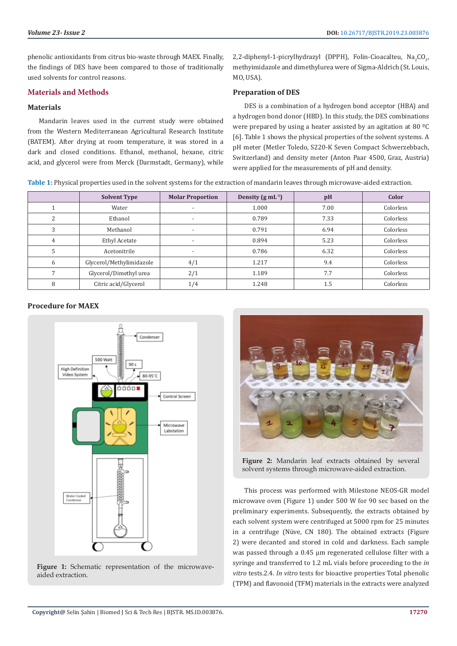phenolic antioxidants from citrus bio-waste through MAEX. Finally, the findings of DES have been compared to those of traditionally used solvents for control reasons.

#### **Materials and Methods**

#### **Materials**

Mandarin leaves used in the current study were obtained from the Western Mediterranean Agricultural Research Institute (BATEM). After drying at room temperature, it was stored in a dark and closed conditions. Ethanol, methanol, hexane, citric acid, and glycerol were from Merck (Darmstadt, Germany), while 2,2-diphenyl-1-picrylhydrazyl (DPPH), Folin-Cioacalteu,  $\text{Na}_2\text{CO}_3$ , methyimidazole and dimethylurea were of Sigma-Aldrich (St. Louis, MO, USA).

#### **Preparation of DES**

DES is a combination of a hydrogen bond acceptor (HBA) and a hydrogen bond donor (HBD). In this study, the DES combinations were prepared by using a heater assisted by an agitation at 80 ºC [6]. Table 1 shows the physical properties of the solvent systems. A pH meter (Metler Toledo, S220-K Seven Compact Schwerzebbach, Switzerland) and density meter (Anton Paar 4500, Graz, Austria) were applied for the measurements of pH and density.

**Table 1:** Physical properties used in the solvent systems for the extraction of mandarin leaves through microwave-aided extraction.

|   | <b>Solvent Type</b>      | <b>Molar Proportion</b>  | Density $(g \, mL^{-1})$ | pH   | Color     |
|---|--------------------------|--------------------------|--------------------------|------|-----------|
|   | Water                    |                          | 1.000                    | 7.00 | Colorless |
| 2 | Ethanol                  | $\overline{\phantom{a}}$ | 0.789                    | 7.33 | Colorless |
| 3 | Methanol                 | $\overline{\phantom{0}}$ | 0.791                    | 6.94 | Colorless |
| 4 | <b>Ethyl Acetate</b>     | $\overline{\phantom{0}}$ | 0.894                    | 5.23 | Colorless |
| 5 | Acetonitrile             | $\overline{\phantom{a}}$ | 0.786                    | 6.32 | Colorless |
| 6 | Glycerol/Methylimidazole | 4/1                      | 1.217                    | 9.4  | Colorless |
|   | Glycerol/Dimethyl urea   | 2/1                      | 1.189                    | 7.7  | Colorless |
| 8 | Citric acid/Glycerol     | 1/4                      | 1.248                    | 1.5  | Colorless |

## **Procedure for MAEX**



Figure 1: Schematic representation of the microwaveaided extraction.



**Figure 2:** Mandarin leaf extracts obtained by several solvent systems through microwave-aided extraction.

This process was performed with Milestone NEOS-GR model microwave oven (Figure 1) under 500 W for 90 sec based on the preliminary experiments. Subsequently, the extracts obtained by each solvent system were centrifuged at 5000 rpm for 25 minutes in a centrifuge (Nüve, CN 180). The obtained extracts (Figure 2) were decanted and stored in cold and darkness. Each sample was passed through a 0.45 µm regenerated cellulose filter with a syringe and transferred to 1.2 mL vials before proceeding to the *in vitro* tests.2.4. *In vitro* tests for bioactive properties Total phenolic (TPM) and flavonoid (TFM) materials in the extracts were analyzed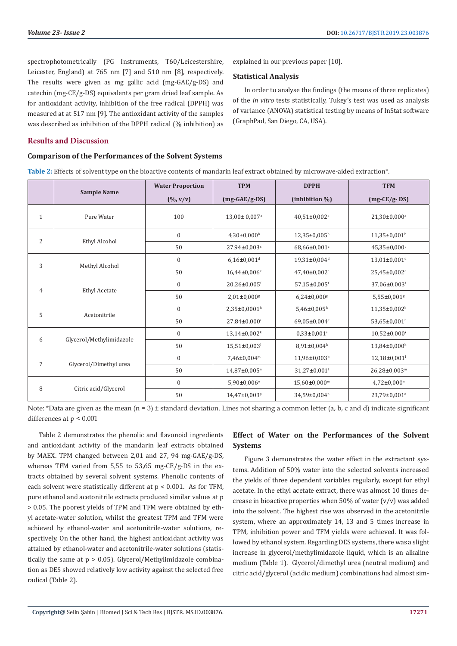In order to analyse the findings (the means of three replicates) of the *in vitro* tests statistically, Tukey's test was used as analysis of variance (ANOVA) statistical testing by means of InStat software

explained in our previous paper [10].

(GraphPad, San Diego, CA, USA).

**Statistical Analysis**

spectrophotometrically (PG Instruments, T60/Leicestershire, Leicester, England) at 765 nm [7] and 510 nm [8], respectively. The results were given as mg gallic acid (mg-GAE/g-DS) and catechin (mg-CE/g-DS) equivalents per gram dried leaf sample. As for antioxidant activity, inhibition of the free radical (DPPH) was measured at at 517 nm [9]. The antioxidant activity of the samples was described as inhibition of the DPPH radical (% inhibition) as

# **Results and Discussion**

#### **Comparison of the Performances of the Solvent Systems**

**Table 2:** Effects of solvent type on the bioactive contents of mandarin leaf extract obtained by microwave-aided extraction\*.

|                |                          | <b>Water Proportion</b> | <b>TPM</b>                  | <b>DPPH</b>                    | <b>TFM</b>                   |
|----------------|--------------------------|-------------------------|-----------------------------|--------------------------------|------------------------------|
|                | <b>Sample Name</b>       | $(\frac{0}{0}, v/v)$    | $(mg-GAE/g-DS)$             | (inhibition %)                 | $(mg-CE/g-DS)$               |
| $\mathbf{1}$   | Pure Water               | 100                     | 13,00± 0,007 <sup>a</sup>   | $40,51\pm0,002^{\rm a}$        | 21,30±0,000 <sup>a</sup>     |
| 2              | Ethyl Alcohol            | $\boldsymbol{0}$        | $4,30\pm0,000$ <sup>b</sup> | $12,35\pm0,005^{\rm b}$        | 11,35±0,001 <sup>b</sup>     |
|                |                          | 50                      | 27,94±0,003c                | 68,66±0,001 <sup>c</sup>       | $45,35\pm0,000$ <sup>c</sup> |
| 3              | Methyl Alcohol           | $\boldsymbol{0}$        | $6,16\pm0,001$ <sup>d</sup> | 19,31±0,004 <sup>d</sup>       | $13,01\pm0,001$ <sup>d</sup> |
|                |                          | 50                      | 16,44±0,006 <sup>e</sup>    | 47,40±0,002 <sup>e</sup>       | 25,45±0,002 <sup>e</sup>     |
| $\overline{4}$ | <b>Ethyl Acetate</b>     | $\boldsymbol{0}$        | 20,26±0,005f                | 57,15±0,005f                   | 37,06±0,003f                 |
|                |                          | 50                      | $2,01\pm0,000$ <sup>g</sup> | $6,24\pm0,000$ <sup>g</sup>    | $5,55\pm0,001$ <sup>g</sup>  |
| 5              | Acetonitrile             | $\mathbf{0}$            | 2,35±0,0001 <sup>h</sup>    | $5,46 \pm 0,005$ <sup>h</sup>  | 11,35±0,002 <sup>b</sup>     |
|                |                          | 50                      | 27,84±0,000'                | 69,05±0,004c                   | 53,65±0,001 <sup>h</sup>     |
| 6              | Glycerol/Methylimidazole | $\boldsymbol{0}$        | $13,14\pm0,002k$            | $0,33\pm0,001$ <sup>1</sup>    | $10,52\pm0,000$              |
|                |                          | 50                      | $15,51\pm0,003$             | $8,91\pm0,004$ <sup>k</sup>    | $13,84\pm0,000$ <sup>k</sup> |
| $\overline{7}$ | Glycerol/Dimethyl urea   | $\boldsymbol{0}$        | $7,46 \pm 0,004^m$          | $11,96 \pm 0,003$ <sup>b</sup> | $12,18\pm0,001$              |
|                |                          | 50                      | 14,87±0,005 <sup>n</sup>    | 31,27±0,001 <sup>1</sup>       | 26,28±0,003m                 |
| 8              | Citric acid/Glycerol     | $\boldsymbol{0}$        | $5,90\pm0,006$ °            | $15,60\pm0,000$ <sup>m</sup>   | $4,72\pm0,000$ <sup>n</sup>  |
|                |                          | 50                      | 14,47±0,003 <sup>p</sup>    | 34,59±0,004 <sup>n</sup>       | 23,79±0,001°                 |

Note: \*Data are given as the mean  $(n = 3)$  ± standard deviation. Lines not sharing a common letter (a, b, c and d) indicate significant differences at p < 0.001

Table 2 demonstrates the phenolic and flavonoid ingredients and antioxidant activity of the mandarin leaf extracts obtained by MAEX. TPM changed between 2,01 and 27, 94 mg-GAE/g-DS, whereas TFM varied from 5,55 to 53,65 mg-CE/g-DS in the extracts obtained by several solvent systems. Phenolic contents of each solvent were statistically different at p < 0.001. As for TFM, pure ethanol and acetonitrile extracts produced similar values at p > 0.05. The poorest yields of TPM and TFM were obtained by ethyl acetate-water solution, whilst the greatest TPM and TFM were achieved by ethanol-water and acetonitrile-water solutions, respectively. On the other hand, the highest antioxidant activity was attained by ethanol-water and acetonitrile-water solutions (statistically the same at p > 0.05). Glycerol/Methylimidazole combination as DES showed relatively low activity against the selected free radical (Table 2).

# **Effect of Water on the Performances of the Solvent Systems**

Figure 3 demonstrates the water effect in the extractant systems. Addition of 50% water into the selected solvents increased the yields of three dependent variables regularly, except for ethyl acetate. In the ethyl acetate extract, there was almost 10 times decrease in bioactive properties when 50% of water  $(v/v)$  was added into the solvent. The highest rise was observed in the acetonitrile system, where an approximately 14, 13 and 5 times increase in TPM, inhibition power and TFM yields were achieved. It was followed by ethanol system. Regarding DES systems, there was a slight increase in glycerol/methylimidazole liquid, which is an alkaline medium (Table 1). Glycerol/dimethyl urea (neutral medium) and citric acid/glycerol (acidic medium) combinations had almost sim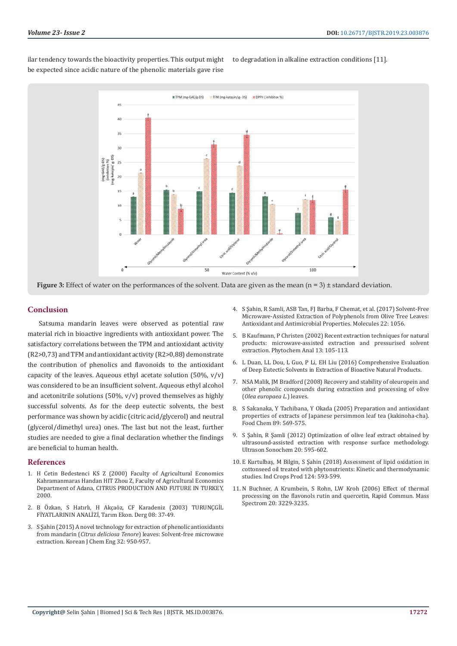ilar tendency towards the bioactivity properties. This output might be expected since acidic nature of the phenolic materials gave rise

to degradation in alkaline extraction conditions [11].



**Figure 3:** Effect of water on the performances of the solvent. Data are given as the mean (n = 3)  $\pm$  standard deviation.

#### **Conclusion**

Satsuma mandarin leaves were observed as potential raw material rich in bioactive ingredients with antioxidant power. The satisfactory correlations between the TPM and antioxidant activity (R2>0,73) and TFM and antioxidant activity (R2>0,88) demonstrate the contribution of phenolics and flavonoids to the antioxidant capacity of the leaves. Aqueous ethyl acetate solution  $(50\% \, \text{y/v})$ was considered to be an insufficient solvent. Aqueous ethyl alcohol and acetonitrile solutions (50%,  $v/v$ ) proved themselves as highly successful solvents. As for the deep eutectic solvents, the best performance was shown by acidic (citric acid/glycerol) and neutral (glycerol/dimethyl urea) ones. The last but not the least, further studies are needed to give a final declaration whether the findings are beneficial to human health.

#### **References**

- 1. H Cetin Bedestenci KS Z (2000) Faculty of Agricultural Economics Kahramanmaras Handan HIT Zhou Z, Faculty of Agricultural Economics Department of Adana, CITRUS PRODUCTION AND FUTURE IN TURKEY, 2000.
- 2. [B Özkan, S Hatırlı, H Akçaöz, CF Karadeniz \(2003\) TURUNÇGİL](http://journal.tarekoder.org/en/issue/25841/272429)  [FİYATLARININ ANALİZİ, Tarım Ekon. Derg 08: 37-49.](http://journal.tarekoder.org/en/issue/25841/272429)
- 3. [S Şahin \(2015\) A novel technology for extraction of phenolic antioxidants](https://www.researchgate.net/publication/275954885_A_novel_technology_for_extraction_of_phenolic_antioxidants_from_mandarin_Citrus_deliciosa_Tenore_leaves_Solvent-free_microwave_extraction)  from mandarin (*Citrus deliciosa Tenore*[\) leaves: Solvent-free microwave](https://www.researchgate.net/publication/275954885_A_novel_technology_for_extraction_of_phenolic_antioxidants_from_mandarin_Citrus_deliciosa_Tenore_leaves_Solvent-free_microwave_extraction)  [extraction. Korean J Chem Eng 32: 950-957.](https://www.researchgate.net/publication/275954885_A_novel_technology_for_extraction_of_phenolic_antioxidants_from_mandarin_Citrus_deliciosa_Tenore_leaves_Solvent-free_microwave_extraction)
- 4. [S Şahin, R Samli, ASB Tan, FJ Barba, F Chemat, et al. \(2017\) Solvent-Free](https://www.ncbi.nlm.nih.gov/pubmed/28672807) [Microwave-Assisted Extraction of Polyphenols from Olive Tree Leaves:](https://www.ncbi.nlm.nih.gov/pubmed/28672807) [Antioxidant and Antimicrobial Properties. Molecules 22: 1056.](https://www.ncbi.nlm.nih.gov/pubmed/28672807)
- 5. [B Kaufmann, P Christen \(2002\) Recent extraction techniques for natural](https://www.ncbi.nlm.nih.gov/pubmed/12018022) [products: microwave-assisted extraction and pressurised solvent](https://www.ncbi.nlm.nih.gov/pubmed/12018022) [extraction. Phytochem Anal 13: 105-113.](https://www.ncbi.nlm.nih.gov/pubmed/12018022)
- 6. [L Duan, LL Dou, L Guo, P Li, EH Liu \(2016\) Comprehensive Evaluation](https://pubs.acs.org/doi/abs/10.1021/acssuschemeng.6b00091) [of Deep Eutectic Solvents in Extraction of Bioactive Natural Products.](https://pubs.acs.org/doi/abs/10.1021/acssuschemeng.6b00091)
- 7. [NSA Malik, JM Bradford \(2008\) Recovery and stability of oleuropein and](https://www.researchgate.net/publication/43270134_Recovery_and_stability_of_oleuropein_and_other_phenolic_compounds_during_extraction_and_processing_of_olive_Olea_europaea_L_leaves) [other phenolic compounds during extraction and processing of olive](https://www.researchgate.net/publication/43270134_Recovery_and_stability_of_oleuropein_and_other_phenolic_compounds_during_extraction_and_processing_of_olive_Olea_europaea_L_leaves) (*[Olea europaea L.](https://www.researchgate.net/publication/43270134_Recovery_and_stability_of_oleuropein_and_other_phenolic_compounds_during_extraction_and_processing_of_olive_Olea_europaea_L_leaves)*) leaves.
- 8. [S Sakanaka, Y Tachibana, Y Okada \(2005\) Preparation and antioxidant](https://www.sciencedirect.com/science/article/pii/S0308814604002535) [properties of extracts of Japanese persimmon leaf tea \(kakinoha-cha\).](https://www.sciencedirect.com/science/article/pii/S0308814604002535) [Food Chem 89: 569-575.](https://www.sciencedirect.com/science/article/pii/S0308814604002535)
- 9. [S Şahin, R Şamli \(2012\) Optimization of olive leaf extract obtained by](https://www.ncbi.nlm.nih.gov/pubmed/22964032) [ultrasound-assisted extraction with response surface methodology.](https://www.ncbi.nlm.nih.gov/pubmed/22964032) [Ultrason Sonochem 20: 595-602.](https://www.ncbi.nlm.nih.gov/pubmed/22964032)
- 10. [E Kurtulbaş, M Bilgin, S Şahin \(2018\) Assessment of lipid oxidation in](https://www.sciencedirect.com/science/article/abs/pii/S0926669018307386) [cottonseed oil treated with phytonutrients: Kinetic and thermodynamic](https://www.sciencedirect.com/science/article/abs/pii/S0926669018307386) [studies. Ind Crops Prod 124: 593-599.](https://www.sciencedirect.com/science/article/abs/pii/S0926669018307386)
- 11. [N Buchner, A Krumbein, S Rohn, LW Kroh \(2006\) Effect of thermal](https://onlinelibrary.wiley.com/doi/abs/10.1002/rcm.2720) [processing on the flavonols rutin and quercetin, Rapid Commun. Mass](https://onlinelibrary.wiley.com/doi/abs/10.1002/rcm.2720) [Spectrom 20: 3229-3235.](https://onlinelibrary.wiley.com/doi/abs/10.1002/rcm.2720)